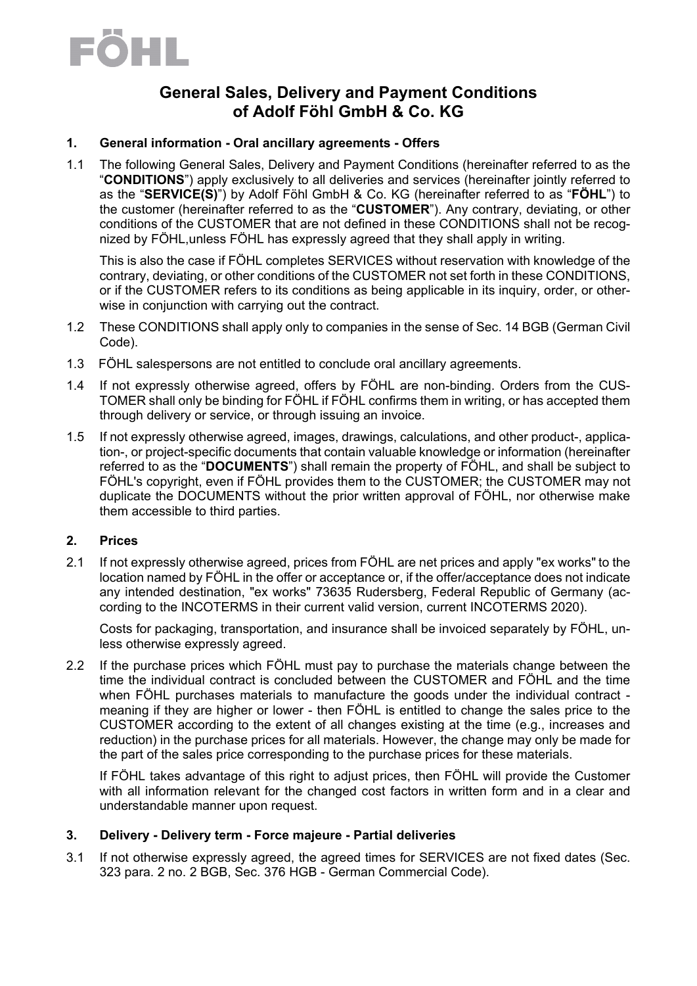# EOHL

### **General Sales, Delivery and Payment Conditions of Adolf Föhl GmbH & Co. KG**

#### **1. General information - Oral ancillary agreements - Offers**

1.1 The following General Sales, Delivery and Payment Conditions (hereinafter referred to as the "**CONDITIONS**") apply exclusively to all deliveries and services (hereinafter jointly referred to as the "**SERVICE(S)**") by Adolf Föhl GmbH & Co. KG (hereinafter referred to as "**FÖHL**") to the customer (hereinafter referred to as the "**CUSTOMER**"). Any contrary, deviating, or other conditions of the CUSTOMER that are not defined in these CONDITIONS shall not be recognized by FÖHL,unless FÖHL has expressly agreed that they shall apply in writing.

This is also the case if FÖHL completes SERVICES without reservation with knowledge of the contrary, deviating, or other conditions of the CUSTOMER not set forth in these CONDITIONS, or if the CUSTOMER refers to its conditions as being applicable in its inquiry, order, or otherwise in conjunction with carrying out the contract.

- 1.2 These CONDITIONS shall apply only to companies in the sense of Sec. 14 BGB (German Civil Code).
- 1.3 FÖHL salespersons are not entitled to conclude oral ancillary agreements.
- 1.4 If not expressly otherwise agreed, offers by FÖHL are non-binding. Orders from the CUS-TOMER shall only be binding for FÖHL if FÖHL confirms them in writing, or has accepted them through delivery or service, or through issuing an invoice.
- 1.5 If not expressly otherwise agreed, images, drawings, calculations, and other product-, application-, or project-specific documents that contain valuable knowledge or information (hereinafter referred to as the "**DOCUMENTS**") shall remain the property of FÖHL, and shall be subject to FÖHL's copyright, even if FÖHL provides them to the CUSTOMER; the CUSTOMER may not duplicate the DOCUMENTS without the prior written approval of FÖHL, nor otherwise make them accessible to third parties.

#### **2. Prices**

2.1 If not expressly otherwise agreed, prices from FÖHL are net prices and apply "ex works" to the location named by FÖHL in the offer or acceptance or, if the offer/acceptance does not indicate any intended destination, "ex works" 73635 Rudersberg, Federal Republic of Germany (according to the INCOTERMS in their current valid version, current INCOTERMS 2020).

Costs for packaging, transportation, and insurance shall be invoiced separately by FÖHL, unless otherwise expressly agreed.

2.2 If the purchase prices which FÖHL must pay to purchase the materials change between the time the individual contract is concluded between the CUSTOMER and FÖHL and the time when FÖHL purchases materials to manufacture the goods under the individual contract meaning if they are higher or lower - then FÖHL is entitled to change the sales price to the CUSTOMER according to the extent of all changes existing at the time (e.g., increases and reduction) in the purchase prices for all materials. However, the change may only be made for the part of the sales price corresponding to the purchase prices for these materials.

If FÖHL takes advantage of this right to adjust prices, then FÖHL will provide the Customer with all information relevant for the changed cost factors in written form and in a clear and understandable manner upon request.

#### **3. Delivery - Delivery term - Force majeure - Partial deliveries**

3.1 If not otherwise expressly agreed, the agreed times for SERVICES are not fixed dates (Sec. 323 para. 2 no. 2 BGB, Sec. 376 HGB - German Commercial Code).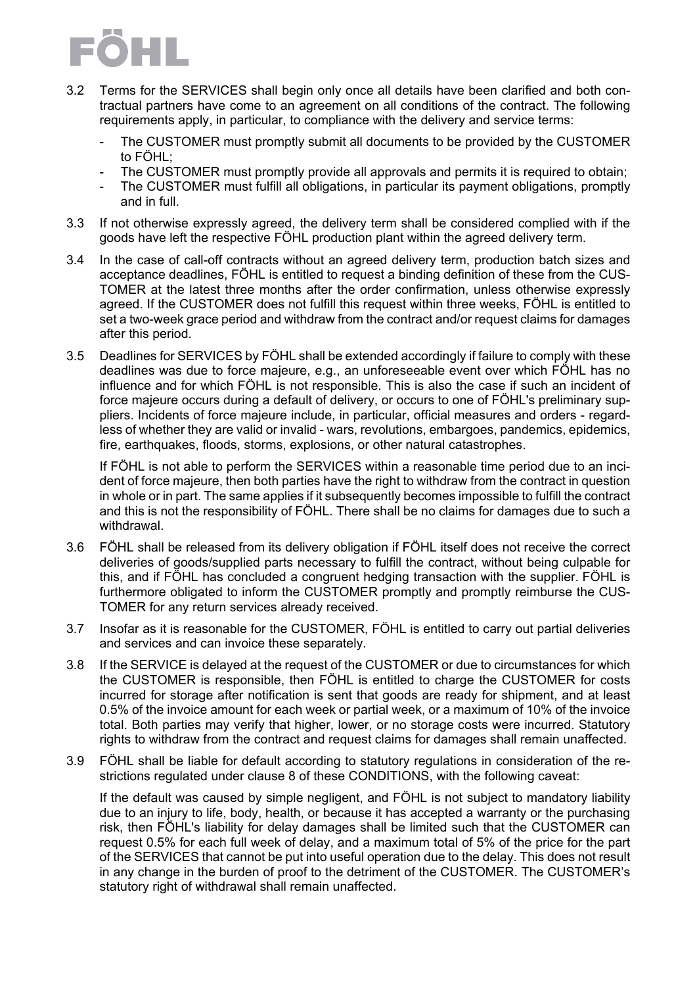

- 3.2 Terms for the SERVICES shall begin only once all details have been clarified and both contractual partners have come to an agreement on all conditions of the contract. The following requirements apply, in particular, to compliance with the delivery and service terms:
	- The CUSTOMER must promptly submit all documents to be provided by the CUSTOMER to FÖHL;
	- The CUSTOMER must promptly provide all approvals and permits it is required to obtain;
	- The CUSTOMER must fulfill all obligations, in particular its payment obligations, promptly and in full.
- 3.3 If not otherwise expressly agreed, the delivery term shall be considered complied with if the goods have left the respective FÖHL production plant within the agreed delivery term.
- 3.4 In the case of call-off contracts without an agreed delivery term, production batch sizes and acceptance deadlines, FÖHL is entitled to request a binding definition of these from the CUS-TOMER at the latest three months after the order confirmation, unless otherwise expressly agreed. If the CUSTOMER does not fulfill this request within three weeks, FÖHL is entitled to set a two-week grace period and withdraw from the contract and/or request claims for damages after this period.
- 3.5 Deadlines for SERVICES by FÖHL shall be extended accordingly if failure to comply with these deadlines was due to force majeure, e.g., an unforeseeable event over which FÖHL has no influence and for which FÖHL is not responsible. This is also the case if such an incident of force majeure occurs during a default of delivery, or occurs to one of FÖHL's preliminary suppliers. Incidents of force majeure include, in particular, official measures and orders - regardless of whether they are valid or invalid - wars, revolutions, embargoes, pandemics, epidemics, fire, earthquakes, floods, storms, explosions, or other natural catastrophes.

If FÖHL is not able to perform the SERVICES within a reasonable time period due to an incident of force majeure, then both parties have the right to withdraw from the contract in question in whole or in part. The same applies if it subsequently becomes impossible to fulfill the contract and this is not the responsibility of FÖHL. There shall be no claims for damages due to such a withdrawal.

- 3.6 FÖHL shall be released from its delivery obligation if FÖHL itself does not receive the correct deliveries of goods/supplied parts necessary to fulfill the contract, without being culpable for this, and if FÖHL has concluded a congruent hedging transaction with the supplier. FÖHL is furthermore obligated to inform the CUSTOMER promptly and promptly reimburse the CUS-TOMER for any return services already received.
- 3.7 Insofar as it is reasonable for the CUSTOMER, FÖHL is entitled to carry out partial deliveries and services and can invoice these separately.
- 3.8 If the SERVICE is delayed at the request of the CUSTOMER or due to circumstances for which the CUSTOMER is responsible, then FÖHL is entitled to charge the CUSTOMER for costs incurred for storage after notification is sent that goods are ready for shipment, and at least 0.5% of the invoice amount for each week or partial week, or a maximum of 10% of the invoice total. Both parties may verify that higher, lower, or no storage costs were incurred. Statutory rights to withdraw from the contract and request claims for damages shall remain unaffected.
- 3.9 FÖHL shall be liable for default according to statutory regulations in consideration of the restrictions regulated under clause 8 of these CONDITIONS, with the following caveat:

If the default was caused by simple negligent, and FÖHL is not subject to mandatory liability due to an injury to life, body, health, or because it has accepted a warranty or the purchasing risk, then FÖHL's liability for delay damages shall be limited such that the CUSTOMER can request 0.5% for each full week of delay, and a maximum total of 5% of the price for the part of the SERVICES that cannot be put into useful operation due to the delay. This does not result in any change in the burden of proof to the detriment of the CUSTOMER. The CUSTOMER's statutory right of withdrawal shall remain unaffected.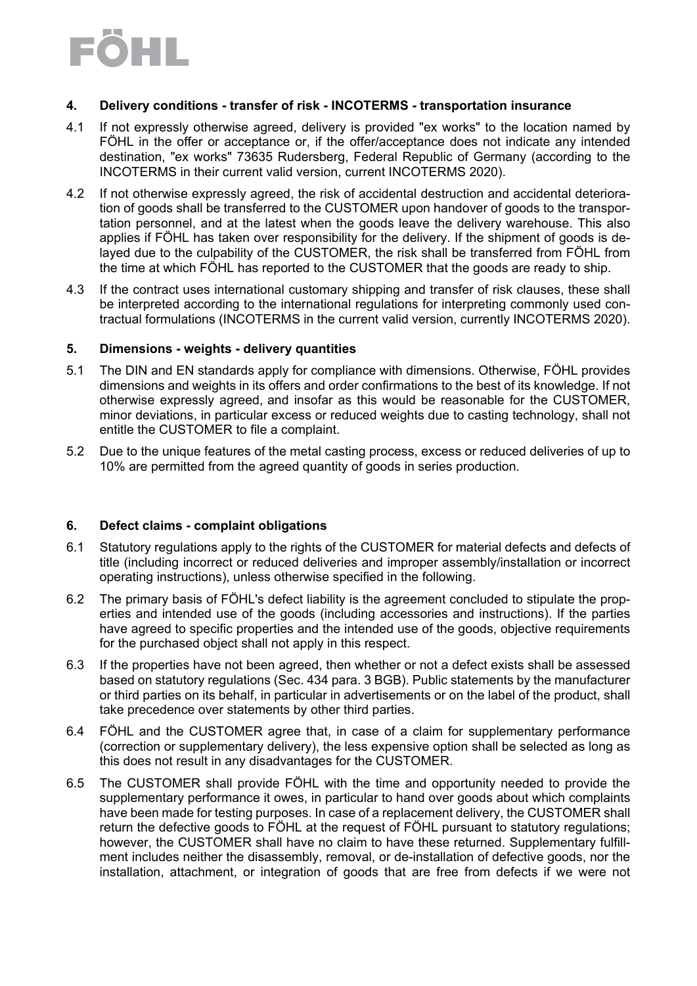## EOHL

#### **4. Delivery conditions - transfer of risk - INCOTERMS - transportation insurance**

- 4.1 If not expressly otherwise agreed, delivery is provided "ex works" to the location named by FÖHL in the offer or acceptance or, if the offer/acceptance does not indicate any intended destination, "ex works" 73635 Rudersberg, Federal Republic of Germany (according to the INCOTERMS in their current valid version, current INCOTERMS 2020).
- 4.2 If not otherwise expressly agreed, the risk of accidental destruction and accidental deterioration of goods shall be transferred to the CUSTOMER upon handover of goods to the transportation personnel, and at the latest when the goods leave the delivery warehouse. This also applies if FÖHL has taken over responsibility for the delivery. If the shipment of goods is delayed due to the culpability of the CUSTOMER, the risk shall be transferred from FÖHL from the time at which FÖHL has reported to the CUSTOMER that the goods are ready to ship.
- 4.3 If the contract uses international customary shipping and transfer of risk clauses, these shall be interpreted according to the international regulations for interpreting commonly used contractual formulations (INCOTERMS in the current valid version, currently INCOTERMS 2020).

#### **5. Dimensions - weights - delivery quantities**

- 5.1 The DIN and EN standards apply for compliance with dimensions. Otherwise, FÖHL provides dimensions and weights in its offers and order confirmations to the best of its knowledge. If not otherwise expressly agreed, and insofar as this would be reasonable for the CUSTOMER, minor deviations, in particular excess or reduced weights due to casting technology, shall not entitle the CUSTOMER to file a complaint.
- 5.2 Due to the unique features of the metal casting process, excess or reduced deliveries of up to 10% are permitted from the agreed quantity of goods in series production.

#### **6. Defect claims - complaint obligations**

- 6.1 Statutory regulations apply to the rights of the CUSTOMER for material defects and defects of title (including incorrect or reduced deliveries and improper assembly/installation or incorrect operating instructions), unless otherwise specified in the following.
- 6.2 The primary basis of FÖHL's defect liability is the agreement concluded to stipulate the properties and intended use of the goods (including accessories and instructions). If the parties have agreed to specific properties and the intended use of the goods, objective requirements for the purchased object shall not apply in this respect.
- 6.3 If the properties have not been agreed, then whether or not a defect exists shall be assessed based on statutory regulations (Sec. 434 para. 3 BGB). Public statements by the manufacturer or third parties on its behalf, in particular in advertisements or on the label of the product, shall take precedence over statements by other third parties.
- 6.4 FÖHL and the CUSTOMER agree that, in case of a claim for supplementary performance (correction or supplementary delivery), the less expensive option shall be selected as long as this does not result in any disadvantages for the CUSTOMER.
- 6.5 The CUSTOMER shall provide FÖHL with the time and opportunity needed to provide the supplementary performance it owes, in particular to hand over goods about which complaints have been made for testing purposes. In case of a replacement delivery, the CUSTOMER shall return the defective goods to FÖHL at the request of FÖHL pursuant to statutory regulations; however, the CUSTOMER shall have no claim to have these returned. Supplementary fulfillment includes neither the disassembly, removal, or de-installation of defective goods, nor the installation, attachment, or integration of goods that are free from defects if we were not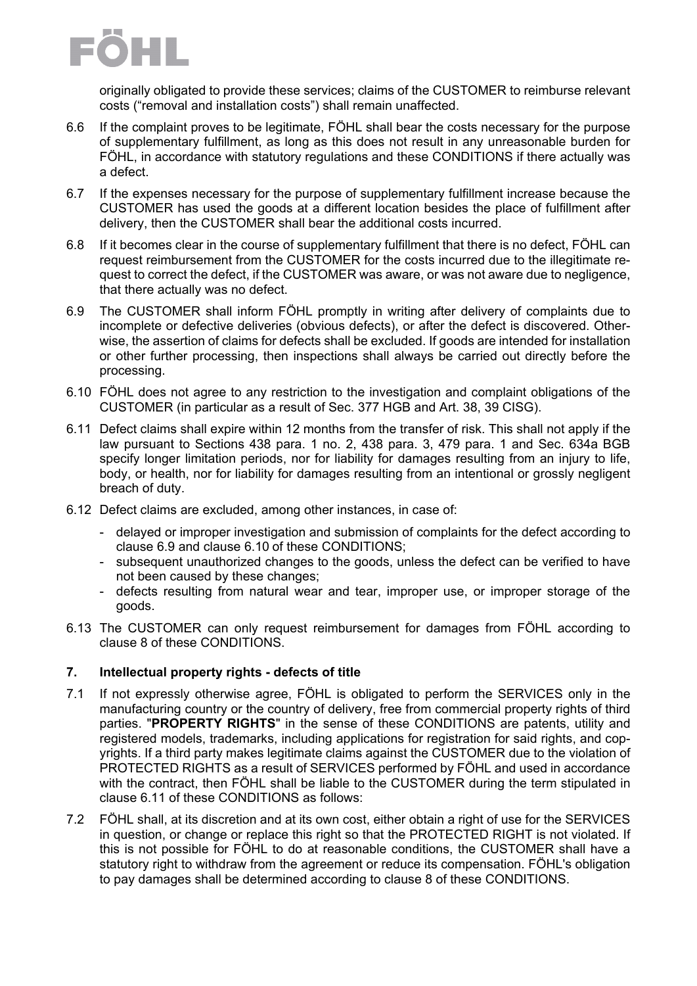

originally obligated to provide these services; claims of the CUSTOMER to reimburse relevant costs ("removal and installation costs") shall remain unaffected.

- 6.6 If the complaint proves to be legitimate, FÖHL shall bear the costs necessary for the purpose of supplementary fulfillment, as long as this does not result in any unreasonable burden for FÖHL, in accordance with statutory regulations and these CONDITIONS if there actually was a defect.
- 6.7 If the expenses necessary for the purpose of supplementary fulfillment increase because the CUSTOMER has used the goods at a different location besides the place of fulfillment after delivery, then the CUSTOMER shall bear the additional costs incurred.
- 6.8 If it becomes clear in the course of supplementary fulfillment that there is no defect, FÖHL can request reimbursement from the CUSTOMER for the costs incurred due to the illegitimate request to correct the defect, if the CUSTOMER was aware, or was not aware due to negligence, that there actually was no defect.
- 6.9 The CUSTOMER shall inform FÖHL promptly in writing after delivery of complaints due to incomplete or defective deliveries (obvious defects), or after the defect is discovered. Otherwise, the assertion of claims for defects shall be excluded. If goods are intended for installation or other further processing, then inspections shall always be carried out directly before the processing.
- 6.10 FÖHL does not agree to any restriction to the investigation and complaint obligations of the CUSTOMER (in particular as a result of Sec. 377 HGB and Art. 38, 39 CISG).
- 6.11 Defect claims shall expire within 12 months from the transfer of risk. This shall not apply if the law pursuant to Sections 438 para. 1 no. 2, 438 para. 3, 479 para. 1 and Sec. 634a BGB specify longer limitation periods, nor for liability for damages resulting from an injury to life, body, or health, nor for liability for damages resulting from an intentional or grossly negligent breach of duty.
- 6.12 Defect claims are excluded, among other instances, in case of:
	- delayed or improper investigation and submission of complaints for the defect according to clause 6.9 and clause 6.10 of these CONDITIONS;
	- subsequent unauthorized changes to the goods, unless the defect can be verified to have not been caused by these changes;
	- defects resulting from natural wear and tear, improper use, or improper storage of the goods.
- 6.13 The CUSTOMER can only request reimbursement for damages from FÖHL according to clause 8 of these CONDITIONS.

#### **7. Intellectual property rights - defects of title**

- 7.1 If not expressly otherwise agree, FÖHL is obligated to perform the SERVICES only in the manufacturing country or the country of delivery, free from commercial property rights of third parties. "**PROPERTY RIGHTS**" in the sense of these CONDITIONS are patents, utility and registered models, trademarks, including applications for registration for said rights, and copyrights. If a third party makes legitimate claims against the CUSTOMER due to the violation of PROTECTED RIGHTS as a result of SERVICES performed by FÖHL and used in accordance with the contract, then FÖHL shall be liable to the CUSTOMER during the term stipulated in clause 6.11 of these CONDITIONS as follows:
- 7.2 FÖHL shall, at its discretion and at its own cost, either obtain a right of use for the SERVICES in question, or change or replace this right so that the PROTECTED RIGHT is not violated. If this is not possible for FÖHL to do at reasonable conditions, the CUSTOMER shall have a statutory right to withdraw from the agreement or reduce its compensation. FÖHL's obligation to pay damages shall be determined according to clause 8 of these CONDITIONS.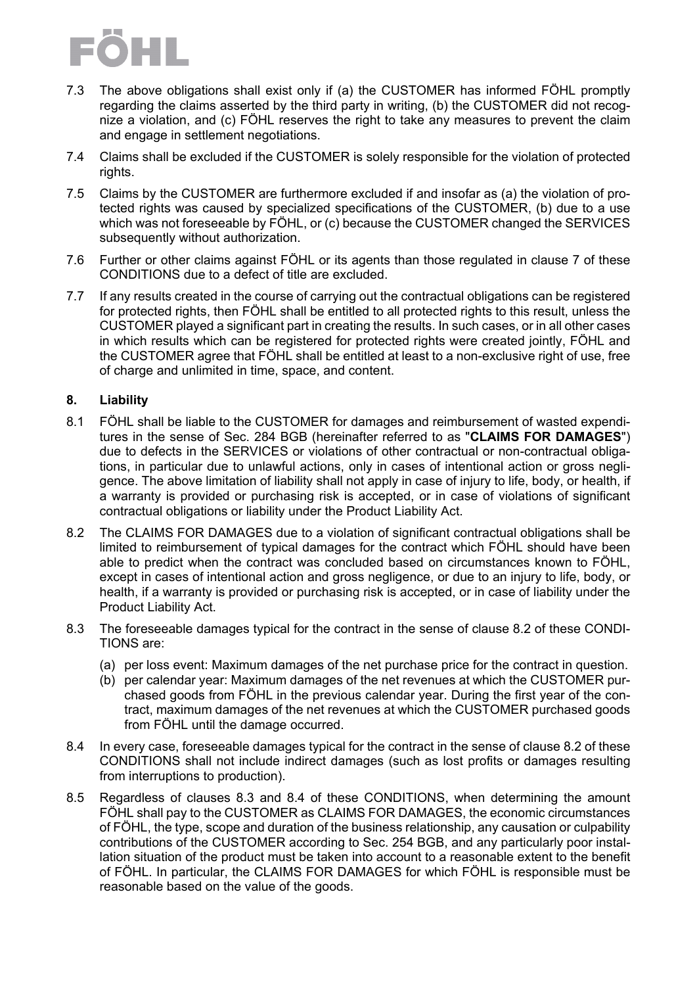

- 7.3 The above obligations shall exist only if (a) the CUSTOMER has informed FÖHL promptly regarding the claims asserted by the third party in writing, (b) the CUSTOMER did not recognize a violation, and (c) FÖHL reserves the right to take any measures to prevent the claim and engage in settlement negotiations.
- 7.4 Claims shall be excluded if the CUSTOMER is solely responsible for the violation of protected rights.
- 7.5 Claims by the CUSTOMER are furthermore excluded if and insofar as (a) the violation of protected rights was caused by specialized specifications of the CUSTOMER, (b) due to a use which was not foreseeable by FÖHL, or (c) because the CUSTOMER changed the SERVICES subsequently without authorization.
- 7.6 Further or other claims against FÖHL or its agents than those regulated in clause 7 of these CONDITIONS due to a defect of title are excluded.
- 7.7 If any results created in the course of carrying out the contractual obligations can be registered for protected rights, then FÖHL shall be entitled to all protected rights to this result, unless the CUSTOMER played a significant part in creating the results. In such cases, or in all other cases in which results which can be registered for protected rights were created jointly, FÖHL and the CUSTOMER agree that FÖHL shall be entitled at least to a non-exclusive right of use, free of charge and unlimited in time, space, and content.

#### **8. Liability**

- 8.1 FÖHL shall be liable to the CUSTOMER for damages and reimbursement of wasted expenditures in the sense of Sec. 284 BGB (hereinafter referred to as "**CLAIMS FOR DAMAGES**") due to defects in the SERVICES or violations of other contractual or non-contractual obligations, in particular due to unlawful actions, only in cases of intentional action or gross negligence. The above limitation of liability shall not apply in case of injury to life, body, or health, if a warranty is provided or purchasing risk is accepted, or in case of violations of significant contractual obligations or liability under the Product Liability Act.
- 8.2 The CLAIMS FOR DAMAGES due to a violation of significant contractual obligations shall be limited to reimbursement of typical damages for the contract which FÖHL should have been able to predict when the contract was concluded based on circumstances known to FÖHL, except in cases of intentional action and gross negligence, or due to an injury to life, body, or health, if a warranty is provided or purchasing risk is accepted, or in case of liability under the Product Liability Act.
- 8.3 The foreseeable damages typical for the contract in the sense of clause 8.2 of these CONDI-TIONS are:
	- (a) per loss event: Maximum damages of the net purchase price for the contract in question.
	- (b) per calendar year: Maximum damages of the net revenues at which the CUSTOMER purchased goods from FÖHL in the previous calendar year. During the first year of the contract, maximum damages of the net revenues at which the CUSTOMER purchased goods from FÖHL until the damage occurred.
- 8.4 In every case, foreseeable damages typical for the contract in the sense of clause 8.2 of these CONDITIONS shall not include indirect damages (such as lost profits or damages resulting from interruptions to production).
- 8.5 Regardless of clauses 8.3 and 8.4 of these CONDITIONS, when determining the amount FÖHL shall pay to the CUSTOMER as CLAIMS FOR DAMAGES, the economic circumstances of FÖHL, the type, scope and duration of the business relationship, any causation or culpability contributions of the CUSTOMER according to Sec. 254 BGB, and any particularly poor installation situation of the product must be taken into account to a reasonable extent to the benefit of FÖHL. In particular, the CLAIMS FOR DAMAGES for which FÖHL is responsible must be reasonable based on the value of the goods.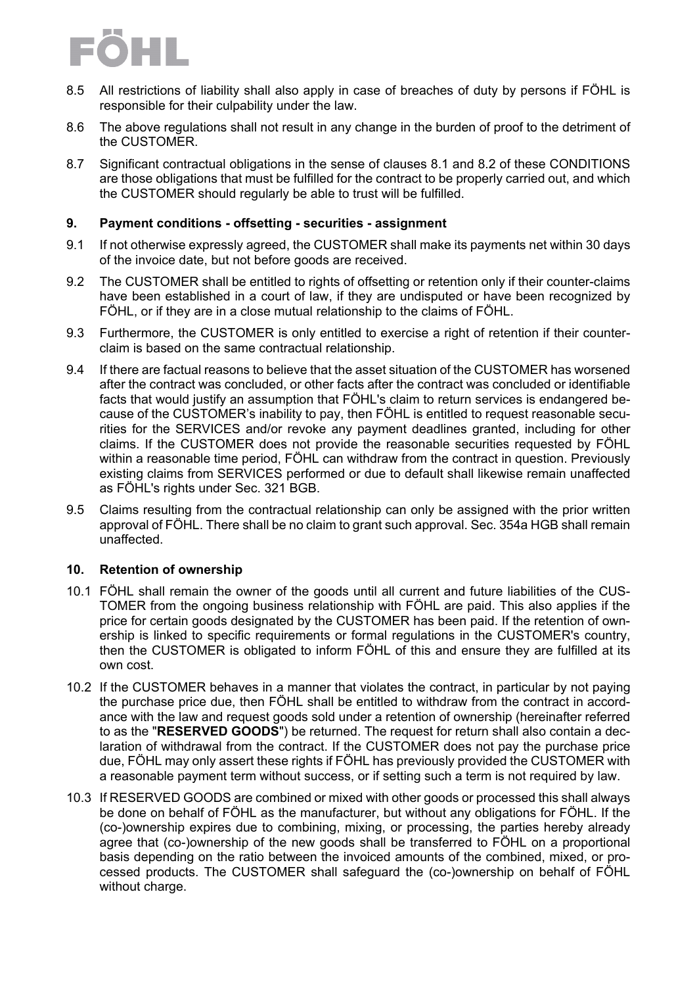

- 8.5 All restrictions of liability shall also apply in case of breaches of duty by persons if FÖHL is responsible for their culpability under the law.
- 8.6 The above regulations shall not result in any change in the burden of proof to the detriment of the CUSTOMER.
- 8.7 Significant contractual obligations in the sense of clauses 8.1 and 8.2 of these CONDITIONS are those obligations that must be fulfilled for the contract to be properly carried out, and which the CUSTOMER should regularly be able to trust will be fulfilled.

#### **9. Payment conditions - offsetting - securities - assignment**

- 9.1 If not otherwise expressly agreed, the CUSTOMER shall make its payments net within 30 days of the invoice date, but not before goods are received.
- 9.2 The CUSTOMER shall be entitled to rights of offsetting or retention only if their counter-claims have been established in a court of law, if they are undisputed or have been recognized by FÖHL, or if they are in a close mutual relationship to the claims of FÖHL.
- 9.3 Furthermore, the CUSTOMER is only entitled to exercise a right of retention if their counterclaim is based on the same contractual relationship.
- 9.4 If there are factual reasons to believe that the asset situation of the CUSTOMER has worsened after the contract was concluded, or other facts after the contract was concluded or identifiable facts that would justify an assumption that FÖHL's claim to return services is endangered because of the CUSTOMER's inability to pay, then FÖHL is entitled to request reasonable securities for the SERVICES and/or revoke any payment deadlines granted, including for other claims. If the CUSTOMER does not provide the reasonable securities requested by FÖHL within a reasonable time period, FÖHL can withdraw from the contract in question. Previously existing claims from SERVICES performed or due to default shall likewise remain unaffected as FÖHL's rights under Sec. 321 BGB.
- 9.5 Claims resulting from the contractual relationship can only be assigned with the prior written approval of FÖHL. There shall be no claim to grant such approval. Sec. 354a HGB shall remain unaffected.

#### **10. Retention of ownership**

- 10.1 FÖHL shall remain the owner of the goods until all current and future liabilities of the CUS-TOMER from the ongoing business relationship with FÖHL are paid. This also applies if the price for certain goods designated by the CUSTOMER has been paid. If the retention of ownership is linked to specific requirements or formal regulations in the CUSTOMER's country, then the CUSTOMER is obligated to inform FÖHL of this and ensure they are fulfilled at its own cost.
- 10.2 If the CUSTOMER behaves in a manner that violates the contract, in particular by not paying the purchase price due, then FÖHL shall be entitled to withdraw from the contract in accordance with the law and request goods sold under a retention of ownership (hereinafter referred to as the "**RESERVED GOODS**") be returned. The request for return shall also contain a declaration of withdrawal from the contract. If the CUSTOMER does not pay the purchase price due, FÖHL may only assert these rights if FÖHL has previously provided the CUSTOMER with a reasonable payment term without success, or if setting such a term is not required by law.
- 10.3 If RESERVED GOODS are combined or mixed with other goods or processed this shall always be done on behalf of FÖHL as the manufacturer, but without any obligations for FÖHL. If the (co-)ownership expires due to combining, mixing, or processing, the parties hereby already agree that (co-)ownership of the new goods shall be transferred to FÖHL on a proportional basis depending on the ratio between the invoiced amounts of the combined, mixed, or processed products. The CUSTOMER shall safeguard the (co-)ownership on behalf of FÖHL without charge.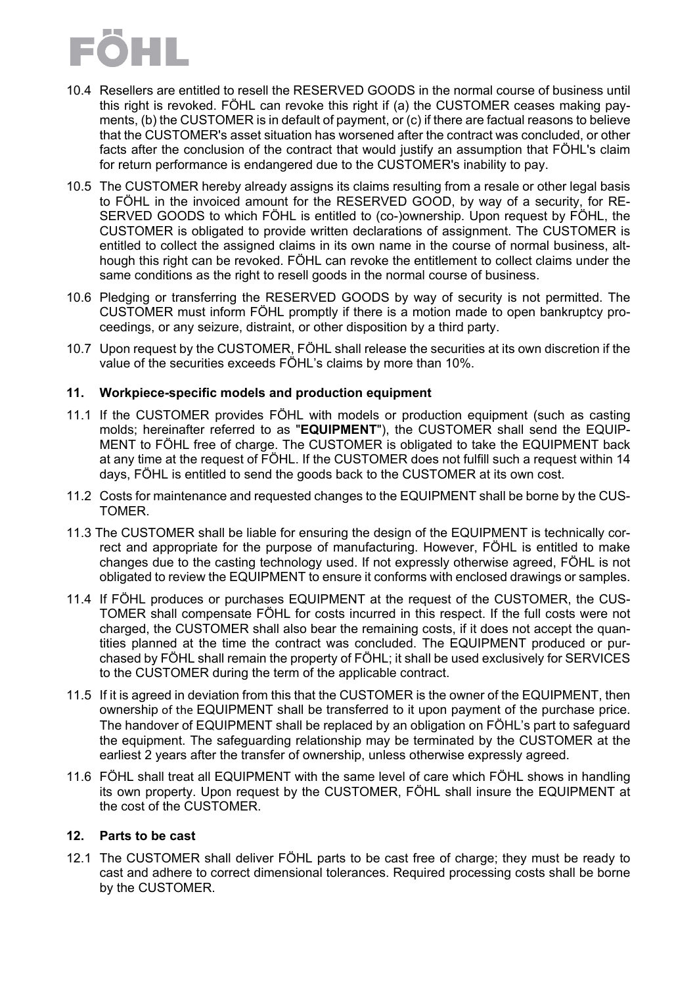

- 10.4 Resellers are entitled to resell the RESERVED GOODS in the normal course of business until this right is revoked. FÖHL can revoke this right if (a) the CUSTOMER ceases making payments, (b) the CUSTOMER is in default of payment, or (c) if there are factual reasons to believe that the CUSTOMER's asset situation has worsened after the contract was concluded, or other facts after the conclusion of the contract that would justify an assumption that FÖHL's claim for return performance is endangered due to the CUSTOMER's inability to pay.
- 10.5 The CUSTOMER hereby already assigns its claims resulting from a resale or other legal basis to FÖHL in the invoiced amount for the RESERVED GOOD, by way of a security, for RE-SERVED GOODS to which FÖHL is entitled to (co-)ownership. Upon request by FÖHL, the CUSTOMER is obligated to provide written declarations of assignment. The CUSTOMER is entitled to collect the assigned claims in its own name in the course of normal business, although this right can be revoked. FÖHL can revoke the entitlement to collect claims under the same conditions as the right to resell goods in the normal course of business.
- 10.6 Pledging or transferring the RESERVED GOODS by way of security is not permitted. The CUSTOMER must inform FÖHL promptly if there is a motion made to open bankruptcy proceedings, or any seizure, distraint, or other disposition by a third party.
- 10.7 Upon request by the CUSTOMER, FÖHL shall release the securities at its own discretion if the value of the securities exceeds FÖHL's claims by more than 10%.

#### **11. Workpiece-specific models and production equipment**

- 11.1 If the CUSTOMER provides FÖHL with models or production equipment (such as casting molds; hereinafter referred to as "**EQUIPMENT**"), the CUSTOMER shall send the EQUIP-MENT to FÖHL free of charge. The CUSTOMER is obligated to take the EQUIPMENT back at any time at the request of FÖHL. If the CUSTOMER does not fulfill such a request within 14 days, FÖHL is entitled to send the goods back to the CUSTOMER at its own cost.
- 11.2 Costs for maintenance and requested changes to the EQUIPMENT shall be borne by the CUS-TOMER.
- 11.3 The CUSTOMER shall be liable for ensuring the design of the EQUIPMENT is technically correct and appropriate for the purpose of manufacturing. However, FÖHL is entitled to make changes due to the casting technology used. If not expressly otherwise agreed, FÖHL is not obligated to review the EQUIPMENT to ensure it conforms with enclosed drawings or samples.
- 11.4 If FÖHL produces or purchases EQUIPMENT at the request of the CUSTOMER, the CUS-TOMER shall compensate FÖHL for costs incurred in this respect. If the full costs were not charged, the CUSTOMER shall also bear the remaining costs, if it does not accept the quantities planned at the time the contract was concluded. The EQUIPMENT produced or purchased by FÖHL shall remain the property of FÖHL; it shall be used exclusively for SERVICES to the CUSTOMER during the term of the applicable contract.
- 11.5 If it is agreed in deviation from this that the CUSTOMER is the owner of the EQUIPMENT, then ownership of the EQUIPMENT shall be transferred to it upon payment of the purchase price. The handover of EQUIPMENT shall be replaced by an obligation on FÖHL's part to safeguard the equipment. The safeguarding relationship may be terminated by the CUSTOMER at the earliest 2 years after the transfer of ownership, unless otherwise expressly agreed.
- 11.6 FÖHL shall treat all EQUIPMENT with the same level of care which FÖHL shows in handling its own property. Upon request by the CUSTOMER, FÖHL shall insure the EQUIPMENT at the cost of the CUSTOMER.

#### **12. Parts to be cast**

12.1 The CUSTOMER shall deliver FÖHL parts to be cast free of charge; they must be ready to cast and adhere to correct dimensional tolerances. Required processing costs shall be borne by the CUSTOMER.